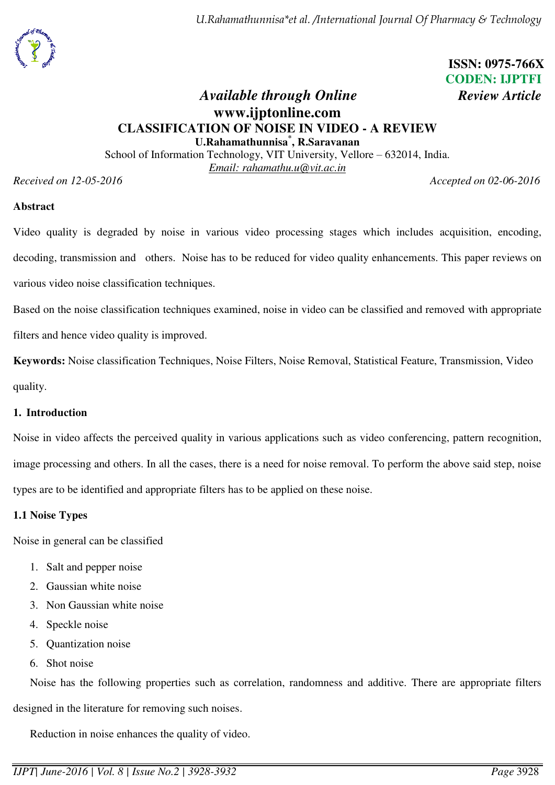

# **ISSN: 0975-766X CODEN: IJPTFI**

## *Available through Online Review Article* **www.ijptonline.com CLASSIFICATION OF NOISE IN VIDEO - A REVIEW U.Rahamathunnisa\* , R.Saravanan**

School of Information Technology, VIT University, Vellore – 632014, India. *Email: rahamathu.u@vit.ac.in*

*Received on 12-05-2016 Accepted on 02-06-2016* 

#### **Abstract**

Video quality is degraded by noise in various video processing stages which includes acquisition, encoding, decoding, transmission and others. Noise has to be reduced for video quality enhancements. This paper reviews on various video noise classification techniques.

Based on the noise classification techniques examined, noise in video can be classified and removed with appropriate filters and hence video quality is improved.

**Keywords:** Noise classification Techniques, Noise Filters, Noise Removal, Statistical Feature, Transmission, Video quality.

#### **1. Introduction**

Noise in video affects the perceived quality in various applications such as video conferencing, pattern recognition, image processing and others. In all the cases, there is a need for noise removal. To perform the above said step, noise types are to be identified and appropriate filters has to be applied on these noise.

#### **1.1 Noise Types**

Noise in general can be classified

- 1. Salt and pepper noise
- 2. Gaussian white noise
- 3. Non Gaussian white noise
- 4. Speckle noise
- 5. Quantization noise
- 6. Shot noise

Noise has the following properties such as correlation, randomness and additive. There are appropriate filters designed in the literature for removing such noises.

Reduction in noise enhances the quality of video.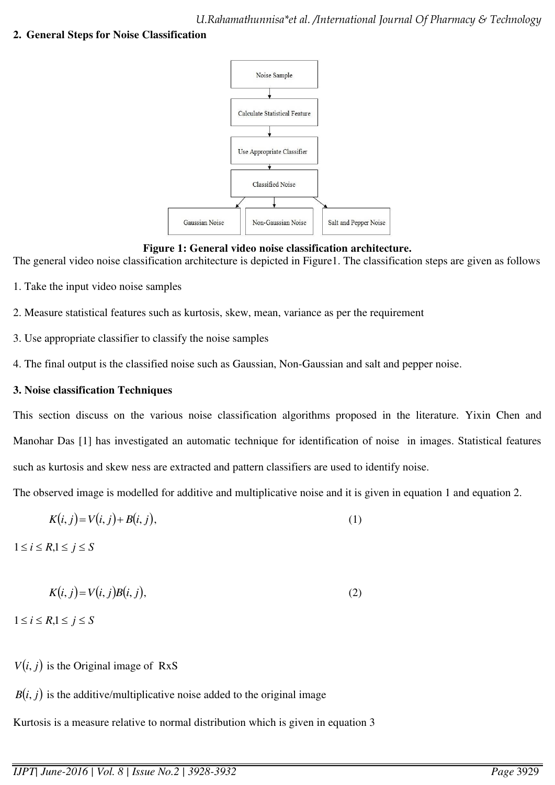## **2. General Steps for Noise Classification**



## **Figure 1: General video noise classification architecture.**

The general video noise classification architecture is depicted in Figure1. The classification steps are given as follows

- 1. Take the input video noise samples
- 2. Measure statistical features such as kurtosis, skew, mean, variance as per the requirement
- 3. Use appropriate classifier to classify the noise samples
- 4. The final output is the classified noise such as Gaussian, Non-Gaussian and salt and pepper noise.

## **3. Noise classification Techniques**

This section discuss on the various noise classification algorithms proposed in the literature. Yixin Chen and Manohar Das [1] has investigated an automatic technique for identification of noise in images. Statistical features such as kurtosis and skew ness are extracted and pattern classifiers are used to identify noise.

The observed image is modelled for additive and multiplicative noise and it is given in equation 1 and equation 2.

$$
K(i, j) = V(i, j) + B(i, j),\tag{1}
$$

 $1 \leq i \leq R, 1 \leq j \leq S$ 

$$
K(i, j) = V(i, j)B(i, j),\tag{2}
$$

 $1 \leq i \leq R, 1 \leq j \leq S$ 

 $V(i, j)$  is the Original image of RxS

 $B(i, j)$  is the additive/multiplicative noise added to the original image

Kurtosis is a measure relative to normal distribution which is given in equation 3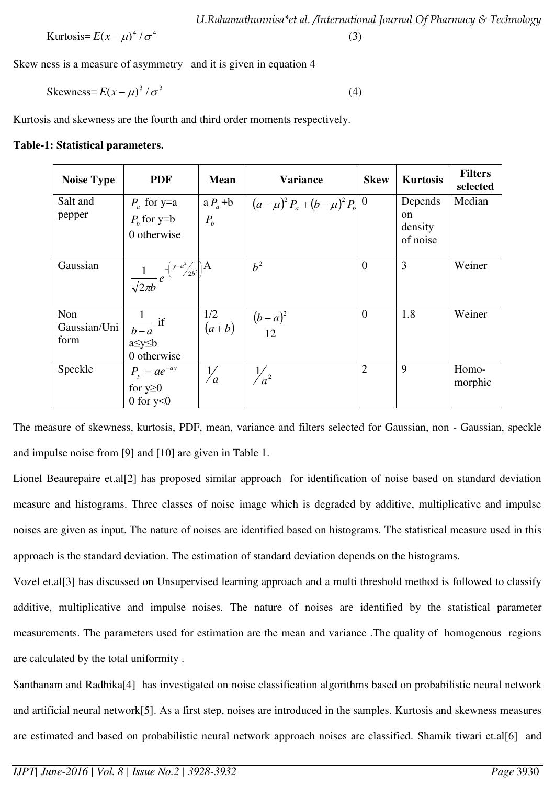$$
U.Rahamathunnisa*et al. /International Journal Of Pharmacy & Technology
$$
\nKurtosis=  $E(x-\mu)^4 / \sigma^4$ 

\n(3)

Skew ness is a measure of asymmetry and it is given in equation 4

$$
Skewness = E(x - \mu)^3 / \sigma^3
$$
 (4)

Kurtosis and skewness are the fourth and third order moments respectively.

#### **Table-1: Statistical parameters.**

| <b>Noise Type</b>           | <b>PDF</b>                                                              | <b>Mean</b>                                                     | <b>Variance</b>                                      | <b>Skew</b>    | <b>Kurtosis</b>                      | <b>Filters</b><br>selected |
|-----------------------------|-------------------------------------------------------------------------|-----------------------------------------------------------------|------------------------------------------------------|----------------|--------------------------------------|----------------------------|
| Salt and<br>pepper          | $P_a$ for y=a<br>$Pb$ for y=b<br>0 otherwise                            | $a P_a + b$<br>$P_{b}$                                          | $\left[ (a - \mu)^2 P_a + (b - \mu)^2 P_b \right] 0$ |                | Depends<br>on<br>density<br>of noise | Median                     |
| Gaussian                    | $\frac{1}{\sqrt{2\pi b}}e^{-\left(\frac{y-a^2}{2b^2}\right)\mathbf{A}}$ |                                                                 | $b^2$                                                | $\overline{0}$ | 3                                    | Weiner                     |
| Non<br>Gaussian/Uni<br>form | $\frac{1}{b-a}$ if<br>a≤y≤b<br>0 otherwise                              | $\begin{array}{c c} 1/2 & \hline (a+b) & \hline 12 \end{array}$ |                                                      | $\overline{0}$ | 1.8                                  | Weiner                     |
| Speckle                     | $P_{v} = ae^{-ay}$<br>for $y \ge 0$<br>0 for $y<0$                      | $\frac{1}{a}$                                                   | $\frac{1}{a^2}$                                      | $\overline{2}$ | 9                                    | Homo-<br>morphic           |

The measure of skewness, kurtosis, PDF, mean, variance and filters selected for Gaussian, non - Gaussian, speckle and impulse noise from [9] and [10] are given in Table 1.

Lionel Beaurepaire et.al[2] has proposed similar approach for identification of noise based on standard deviation measure and histograms. Three classes of noise image which is degraded by additive, multiplicative and impulse noises are given as input. The nature of noises are identified based on histograms. The statistical measure used in this approach is the standard deviation. The estimation of standard deviation depends on the histograms.

Vozel et.al[3] has discussed on Unsupervised learning approach and a multi threshold method is followed to classify additive, multiplicative and impulse noises. The nature of noises are identified by the statistical parameter measurements. The parameters used for estimation are the mean and variance .The quality of homogenous regions are calculated by the total uniformity .

Santhanam and Radhika[4] has investigated on noise classification algorithms based on probabilistic neural network and artificial neural network[5]. As a first step, noises are introduced in the samples. Kurtosis and skewness measures are estimated and based on probabilistic neural network approach noises are classified. Shamik tiwari et.al[6] and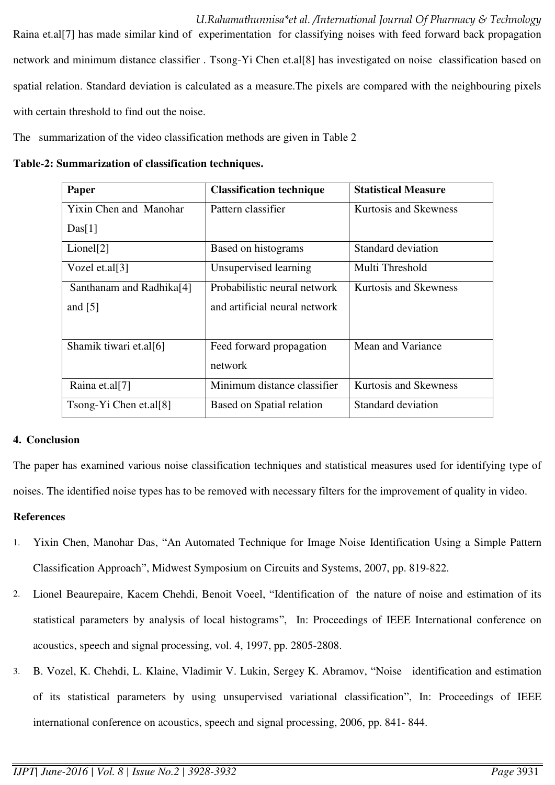*U.Rahamathunnisa\*et al. /International Journal Of Pharmacy & Technology*  Raina et.al[7] has made similar kind of experimentation for classifying noises with feed forward back propagation network and minimum distance classifier . Tsong-Yi Chen et.al[8] has investigated on noise classification based on spatial relation. Standard deviation is calculated as a measure.The pixels are compared with the neighbouring pixels with certain threshold to find out the noise.

The summarization of the video classification methods are given in Table 2

**Table-2: Summarization of classification techniques.** 

| Paper                         | <b>Classification technique</b> | <b>Statistical Measure</b>   |
|-------------------------------|---------------------------------|------------------------------|
| <b>Yixin Chen and Manohar</b> | Pattern classifier              | Kurtosis and Skewness        |
| Das[1]                        |                                 |                              |
| Lionel[2]                     | Based on histograms             | Standard deviation           |
| Vozel et.al $[3]$             | Unsupervised learning           | Multi Threshold              |
| Santhanam and Radhika[4]      | Probabilistic neural network    | Kurtosis and Skewness        |
| and $[5]$                     | and artificial neural network   |                              |
| Shamik tiwari et.al[6]        | Feed forward propagation        | Mean and Variance            |
|                               | network                         |                              |
| Raina et.al[7]                | Minimum distance classifier     | <b>Kurtosis and Skewness</b> |
| $Tsong-Yi$ Chen et.al[8]      | Based on Spatial relation       | <b>Standard deviation</b>    |

## **4. Conclusion**

The paper has examined various noise classification techniques and statistical measures used for identifying type of noises. The identified noise types has to be removed with necessary filters for the improvement of quality in video.

#### **References**

- 1. Yixin Chen, Manohar Das, "An Automated Technique for Image Noise Identification Using a Simple Pattern Classification Approach", Midwest Symposium on Circuits and Systems, 2007, pp. 819-822.
- 2. Lionel Beaurepaire, Kacem Chehdi, Benoit Voeel, "Identification of the nature of noise and estimation of its statistical parameters by analysis of local histograms", In: Proceedings of IEEE International conference on acoustics, speech and signal processing, vol. 4, 1997, pp. 2805-2808.
- 3. B. Vozel, K. Chehdi, L. Klaine, Vladimir V. Lukin, Sergey K. Abramov, "Noise identification and estimation of its statistical parameters by using unsupervised variational classification", In: Proceedings of IEEE international conference on acoustics, speech and signal processing, 2006, pp. 841- 844.